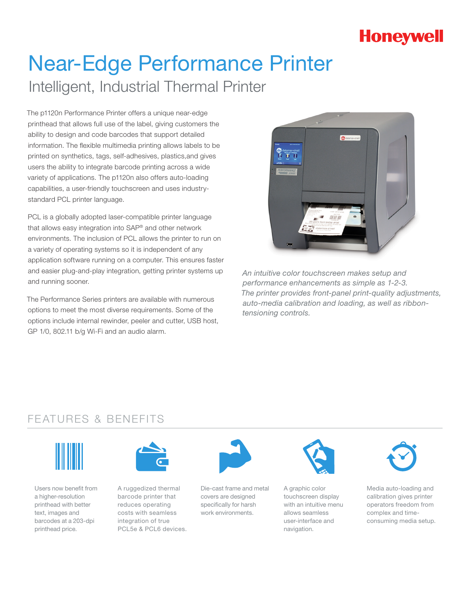# **Honeywell**

# Near-Edge Performance Printer Intelligent, Industrial Thermal Printer

The p1120n Performance Printer offers a unique near-edge printhead that allows full use of the label, giving customers the ability to design and code barcodes that support detailed information. The flexible multimedia printing allows labels to be printed on synthetics, tags, self-adhesives, plastics,and gives users the ability to integrate barcode printing across a wide variety of applications. The p1120n also offers auto-loading capabilities, a user-friendly touchscreen and uses industrystandard PCL printer language.

PCL is a globally adopted laser-compatible printer language that allows easy integration into SAP® and other network environments. The inclusion of PCL allows the printer to run on a variety of operating systems so it is independent of any application software running on a computer. This ensures faster and easier plug-and-play integration, getting printer systems up and running sooner.

The Performance Series printers are available with numerous options to meet the most diverse requirements. Some of the options include internal rewinder, peeler and cutter, USB host, GP 1/0, 802.11 b/g Wi-Fi and an audio alarm.



*An intuitive color touchscreen makes setup and performance enhancements as simple as 1-2-3. The printer provides front-panel print-quality adjustments, auto-media calibration and loading, as well as ribbontensioning controls.* 

### FEATURES & BENEFITS



Users now benefit from a higher-resolution printhead with better text, images and barcodes at a 203-dpi printhead price.



A ruggedized thermal barcode printer that reduces operating costs with seamless integration of true PCL5e & PCL6 devices.



Die-cast frame and metal covers are designed specifically for harsh work environments.



A graphic color touchscreen display with an intuitive menu allows seamless user-interface and navigation.



Media auto-loading and calibration gives printer operators freedom from complex and timeconsuming media setup.